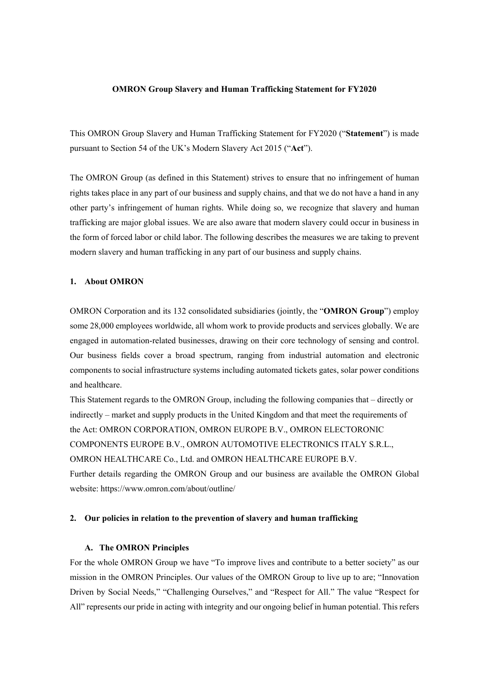### **OMRON Group Slavery and Human Trafficking Statement for FY2020**

This OMRON Group Slavery and Human Trafficking Statement for FY2020 ("**Statement**") is made pursuant to Section 54 of the UK's Modern Slavery Act 2015 ("**Act**").

The OMRON Group (as defined in this Statement) strives to ensure that no infringement of human rights takes place in any part of our business and supply chains, and that we do not have a hand in any other party's infringement of human rights. While doing so, we recognize that slavery and human trafficking are major global issues. We are also aware that modern slavery could occur in business in the form of forced labor or child labor. The following describes the measures we are taking to prevent modern slavery and human trafficking in any part of our business and supply chains.

### **1. About OMRON**

OMRON Corporation and its 132 consolidated subsidiaries (jointly, the "**OMRON Group**") employ some 28,000 employees worldwide, all whom work to provide products and services globally. We are engaged in automation-related businesses, drawing on their core technology of sensing and control. Our business fields cover a broad spectrum, ranging from industrial automation and electronic components to social infrastructure systems including automated tickets gates, solar power conditions and healthcare.

This Statement regards to the OMRON Group, including the following companies that – directly or indirectly – market and supply products in the United Kingdom and that meet the requirements of the Act: OMRON CORPORATION, OMRON EUROPE B.V., OMRON ELECTORONIC COMPONENTS EUROPE B.V., OMRON AUTOMOTIVE ELECTRONICS ITALY S.R.L., OMRON HEALTHCARE Co., Ltd. and OMRON HEALTHCARE EUROPE B.V. Further details regarding the OMRON Group and our business are available the OMRON Global website: https://www.omron.com/about/outline/

## **2. Our policies in relation to the prevention of slavery and human trafficking**

### **A. The OMRON Principles**

For the whole OMRON Group we have "To improve lives and contribute to a better society" as our mission in the OMRON Principles. Our values of the OMRON Group to live up to are; "Innovation Driven by Social Needs," "Challenging Ourselves," and "Respect for All." The value "Respect for All" represents our pride in acting with integrity and our ongoing belief in human potential. This refers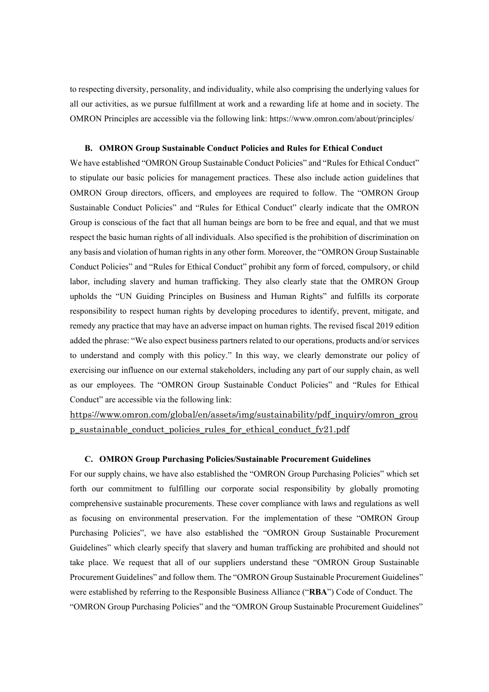to respecting diversity, personality, and individuality, while also comprising the underlying values for all our activities, as we pursue fulfillment at work and a rewarding life at home and in society. The OMRON Principles are accessible via the following link: https://www.omron.com/about/principles/

## **B. OMRON Group Sustainable Conduct Policies and Rules for Ethical Conduct**

We have established "OMRON Group Sustainable Conduct Policies" and "Rules for Ethical Conduct" to stipulate our basic policies for management practices. These also include action guidelines that OMRON Group directors, officers, and employees are required to follow. The "OMRON Group Sustainable Conduct Policies" and "Rules for Ethical Conduct" clearly indicate that the OMRON Group is conscious of the fact that all human beings are born to be free and equal, and that we must respect the basic human rights of all individuals. Also specified is the prohibition of discrimination on any basis and violation of human rights in any other form. Moreover, the "OMRON Group Sustainable Conduct Policies" and "Rules for Ethical Conduct" prohibit any form of forced, compulsory, or child labor, including slavery and human trafficking. They also clearly state that the OMRON Group upholds the "UN Guiding Principles on Business and Human Rights" and fulfills its corporate responsibility to respect human rights by developing procedures to identify, prevent, mitigate, and remedy any practice that may have an adverse impact on human rights. The revised fiscal 2019 edition added the phrase: "We also expect business partners related to our operations, products and/or services to understand and comply with this policy." In this way, we clearly demonstrate our policy of exercising our influence on our external stakeholders, including any part of our supply chain, as well as our employees. The "OMRON Group Sustainable Conduct Policies" and "Rules for Ethical Conduct" are accessible via the following link:

https://www.omron.com/global/en/assets/img/sustainability/pdf\_inquiry/omron\_grou p\_sustainable\_conduct\_policies\_rules\_for\_ethical\_conduct\_fy21.pdf

### **C. OMRON Group Purchasing Policies/Sustainable Procurement Guidelines**

For our supply chains, we have also established the "OMRON Group Purchasing Policies" which set forth our commitment to fulfilling our corporate social responsibility by globally promoting comprehensive sustainable procurements. These cover compliance with laws and regulations as well as focusing on environmental preservation. For the implementation of these "OMRON Group Purchasing Policies", we have also established the "OMRON Group Sustainable Procurement Guidelines" which clearly specify that slavery and human trafficking are prohibited and should not take place. We request that all of our suppliers understand these "OMRON Group Sustainable Procurement Guidelines" and follow them. The "OMRON Group Sustainable Procurement Guidelines" were established by referring to the Responsible Business Alliance ("**RBA**") Code of Conduct. The "OMRON Group Purchasing Policies" and the "OMRON Group Sustainable Procurement Guidelines"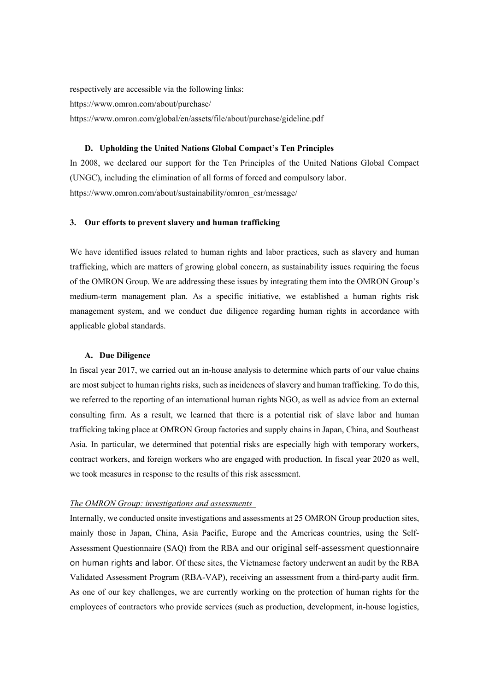respectively are accessible via the following links: https://www.omron.com/about/purchase/ https://www.omron.com/global/en/assets/file/about/purchase/gideline.pdf

# **D. Upholding the United Nations Global Compact's Ten Principles**

In 2008, we declared our support for the Ten Principles of the United Nations Global Compact (UNGC), including the elimination of all forms of forced and compulsory labor. https://www.omron.com/about/sustainability/omron\_csr/message/

## **3. Our efforts to prevent slavery and human trafficking**

We have identified issues related to human rights and labor practices, such as slavery and human trafficking, which are matters of growing global concern, as sustainability issues requiring the focus of the OMRON Group. We are addressing these issues by integrating them into the OMRON Group's medium-term management plan. As a specific initiative, we established a human rights risk management system, and we conduct due diligence regarding human rights in accordance with applicable global standards.

## **A. Due Diligence**

In fiscal year 2017, we carried out an in-house analysis to determine which parts of our value chains are most subject to human rights risks, such as incidences of slavery and human trafficking. To do this, we referred to the reporting of an international human rights NGO, as well as advice from an external consulting firm. As a result, we learned that there is a potential risk of slave labor and human trafficking taking place at OMRON Group factories and supply chains in Japan, China, and Southeast Asia. In particular, we determined that potential risks are especially high with temporary workers, contract workers, and foreign workers who are engaged with production. In fiscal year 2020 as well, we took measures in response to the results of this risk assessment.

### *The OMRON Group: investigations and assessments*

Internally, we conducted onsite investigations and assessments at 25 OMRON Group production sites, mainly those in Japan, China, Asia Pacific, Europe and the Americas countries, using the Self-Assessment Questionnaire (SAQ) from the RBA and our original self-assessment questionnaire on human rights and labor. Of these sites, the Vietnamese factory underwent an audit by the RBA Validated Assessment Program (RBA-VAP), receiving an assessment from a third-party audit firm. As one of our key challenges, we are currently working on the protection of human rights for the employees of contractors who provide services (such as production, development, in-house logistics,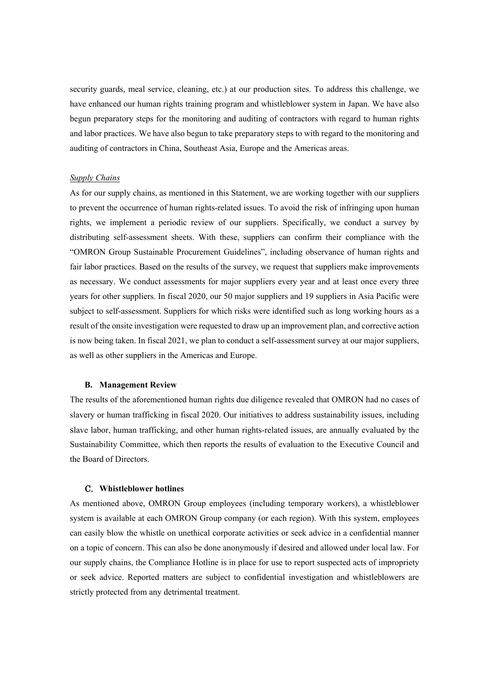security guards, meal service, cleaning, etc.) at our production sites. To address this challenge, we have enhanced our human rights training program and whistleblower system in Japan. We have also begun preparatory steps for the monitoring and auditing of contractors with regard to human rights and labor practices. We have also begun to take preparatory steps to with regard to the monitoring and auditing of contractors in China, Southeast Asia, Europe and the Americas areas.

## *Supply Chains*

As for our supply chains, as mentioned in this Statement, we are working together with our suppliers to prevent the occurrence of human rights-related issues. To avoid the risk of infringing upon human rights, we implement a periodic review of our suppliers. Specifically, we conduct a survey by distributing self-assessment sheets. With these, suppliers can confirm their compliance with the "OMRON Group Sustainable Procurement Guidelines", including observance of human rights and fair labor practices. Based on the results of the survey, we request that suppliers make improvements as necessary. We conduct assessments for major suppliers every year and at least once every three years for other suppliers. In fiscal 2020, our 50 major suppliers and 19 suppliers in Asia Pacific were subject to self-assessment. Suppliers for which risks were identified such as long working hours as a result of the onsite investigation were requested to draw up an improvement plan, and corrective action is now being taken. In fiscal 2021, we plan to conduct a self-assessment survey at our major suppliers, as well as other suppliers in the Americas and Europe.

### **B. Management Review**

The results of the aforementioned human rights due diligence revealed that OMRON had no cases of slavery or human trafficking in fiscal 2020. Our initiatives to address sustainability issues, including slave labor, human trafficking, and other human rights-related issues, are annually evaluated by the Sustainability Committee, which then reports the results of evaluation to the Executive Council and the Board of Directors.

#### C. **Whistleblower hotlines**

As mentioned above, OMRON Group employees (including temporary workers), a whistleblower system is available at each OMRON Group company (or each region). With this system, employees can easily blow the whistle on unethical corporate activities or seek advice in a confidential manner on a topic of concern. This can also be done anonymously if desired and allowed under local law. For our supply chains, the Compliance Hotline is in place for use to report suspected acts of impropriety or seek advice. Reported matters are subject to confidential investigation and whistleblowers are strictly protected from any detrimental treatment.